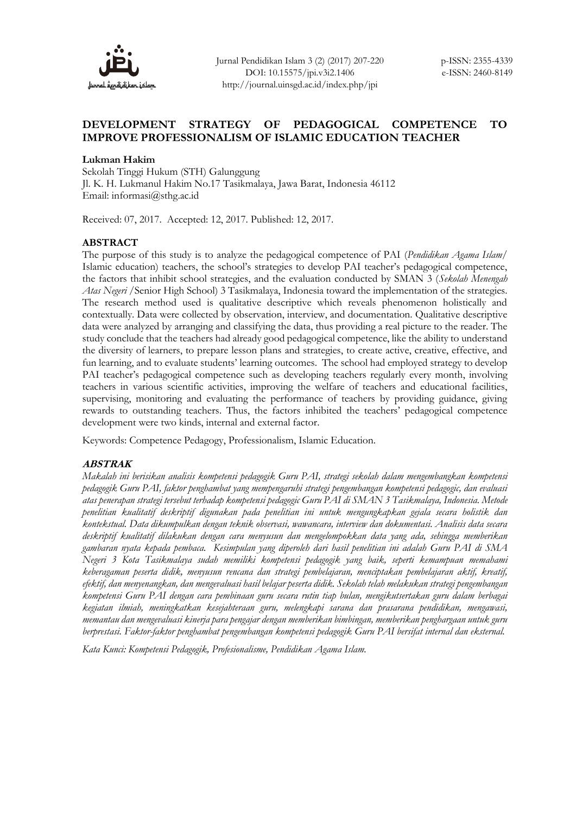

# **DEVELOPMENT STRATEGY OF PEDAGOGICAL COMPETENCE TO IMPROVE PROFESSIONALISM OF ISLAMIC EDUCATION TEACHER**

### **Lukman Hakim**

Sekolah Tinggi Hukum (STH) Galunggung Jl. K. H. Lukmanul Hakim No.17 Tasikmalaya, Jawa Barat, Indonesia 46112 Email: informasi@sthg.ac.id

Received: 07, 2017. Accepted: 12, 2017. Published: 12, 2017.

### **ABSTRACT**

The purpose of this study is to analyze the pedagogical competence of PAI (*Pendidikan Agama Islam/* Islamic education) teachers, the school's strategies to develop PAI teacher's pedagogical competence, the factors that inhibit school strategies, and the evaluation conducted by SMAN 3 (*Sekolah Menengah Atas Negeri* /Senior High School) 3 Tasikmalaya, Indonesia toward the implementation of the strategies. The research method used is qualitative descriptive which reveals phenomenon holistically and contextually. Data were collected by observation, interview, and documentation. Qualitative descriptive data were analyzed by arranging and classifying the data, thus providing a real picture to the reader. The study conclude that the teachers had already good pedagogical competence, like the ability to understand the diversity of learners, to prepare lesson plans and strategies, to create active, creative, effective, and fun learning, and to evaluate students' learning outcomes. The school had employed strategy to develop PAI teacher's pedagogical competence such as developing teachers regularly every month, involving teachers in various scientific activities, improving the welfare of teachers and educational facilities, supervising, monitoring and evaluating the performance of teachers by providing guidance, giving rewards to outstanding teachers. Thus, the factors inhibited the teachers' pedagogical competence development were two kinds, internal and external factor.

Keywords: Competence Pedagogy, Professionalism, Islamic Education.

## **ABSTRAK**

*Makalah ini berisikan analisis kompetensi pedagogik Guru PAI, strategi sekolah dalam mengembangkan kompetensi pedagogik Guru PAI, faktor penghambat yang mempengaruhi strategi pengembangan kompetensi pedagogic, dan evaluasi atas penerapan strategi tersebut terhadap kompetensi pedagogic Guru PAI di SMAN 3 Tasikmalaya, Indonesia. Metode penelitian kualitatif deskriptif digunakan pada penelitian ini untuk mengungkapkan gejala secara holistik dan kontekstual. Data dikumpulkan dengan teknik observasi, wawancara, interview dan dokumentasi. Analisis data secara deskriptif kualitatif dilakukan dengan cara menyusun dan mengelompokkan data yang ada, sehingga memberikan gambaran nyata kepada pembaca. Kesimpulan yang diperoleh dari hasil penelitian ini adalah Guru PAI di SMA Negeri 3 Kota Tasikmalaya sudah memiliki kompetensi pedagogik yang baik, seperti kemampuan memahami keberagaman peserta didik, menyusun rencana dan strategi pembelajaran, menciptakan pembelajaran aktif, kreatif, efektif, dan menyenangkan, dan mengevaluasi hasil belajar peserta didik. Sekolah telah melakukan strategi pengembangan kompetensi Guru PAI dengan cara pembinaan guru secara rutin tiap bulan, mengikutsertakan guru dalam berbagai kegiatan ilmiah, meningkatkan kesejahteraan guru, melengkapi sarana dan prasarana pendidikan, mengawasi, memantau dan mengevaluasi kinerja para pengajar dengan memberikan bimbingan, memberikan penghargaan untuk guru berprestasi. Faktor-faktor penghambat pengembangan kompetensi pedagogik Guru PAI bersifat internal dan eksternal.* 

*Kata Kunci: Kompetensi Pedagogik, Profesionalisme, Pendidikan Agama Islam.*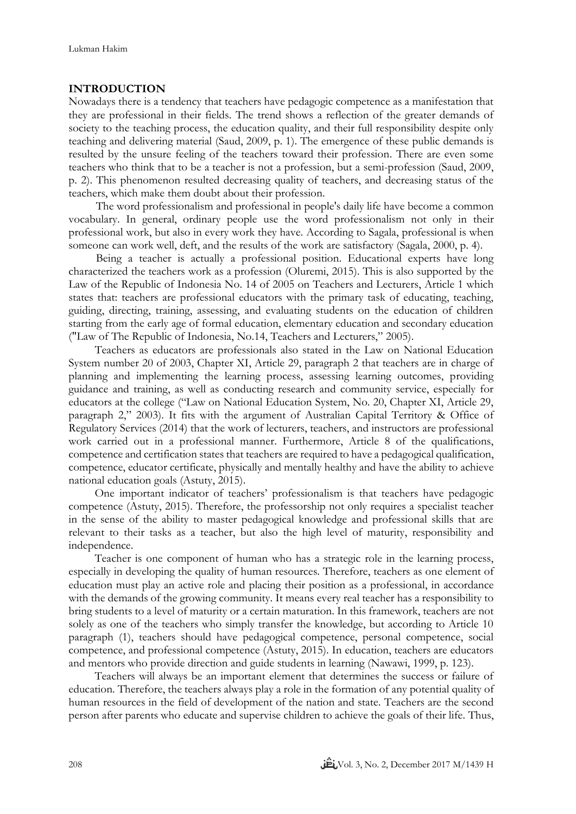## **INTRODUCTION**

Nowadays there is a tendency that teachers have pedagogic competence as a manifestation that they are professional in their fields. The trend shows a reflection of the greater demands of society to the teaching process, the education quality, and their full responsibility despite only teaching and delivering material (Saud, 2009, p. 1). The emergence of these public demands is resulted by the unsure feeling of the teachers toward their profession. There are even some teachers who think that to be a teacher is not a profession, but a semi-profession (Saud, 2009, p. 2). This phenomenon resulted decreasing quality of teachers, and decreasing status of the teachers, which make them doubt about their profession.

The word professionalism and professional in people's daily life have become a common vocabulary. In general, ordinary people use the word professionalism not only in their professional work, but also in every work they have. According to Sagala, professional is when someone can work well, deft, and the results of the work are satisfactory (Sagala, 2000, p. 4).

Being a teacher is actually a professional position. Educational experts have long characterized the teachers work as a profession (Oluremi, 2015). This is also supported by the Law of the Republic of Indonesia No. 14 of 2005 on Teachers and Lecturers, Article 1 which states that: teachers are professional educators with the primary task of educating, teaching, guiding, directing, training, assessing, and evaluating students on the education of children starting from the early age of formal education, elementary education and secondary education ("Law of The Republic of Indonesia, No.14, Teachers and Lecturers," 2005).

Teachers as educators are professionals also stated in the Law on National Education System number 20 of 2003, Chapter XI, Article 29, paragraph 2 that teachers are in charge of planning and implementing the learning process, assessing learning outcomes, providing guidance and training, as well as conducting research and community service, especially for educators at the college ("Law on National Education System, No. 20, Chapter XI, Article 29, paragraph 2," 2003). It fits with the argument of Australian Capital Territory & Office of Regulatory Services (2014) that the work of lecturers, teachers, and instructors are professional work carried out in a professional manner. Furthermore, Article 8 of the qualifications, competence and certification states that teachers are required to have a pedagogical qualification, competence, educator certificate, physically and mentally healthy and have the ability to achieve national education goals (Astuty, 2015).

One important indicator of teachers' professionalism is that teachers have pedagogic competence (Astuty, 2015). Therefore, the professorship not only requires a specialist teacher in the sense of the ability to master pedagogical knowledge and professional skills that are relevant to their tasks as a teacher, but also the high level of maturity, responsibility and independence.

Teacher is one component of human who has a strategic role in the learning process, especially in developing the quality of human resources. Therefore, teachers as one element of education must play an active role and placing their position as a professional, in accordance with the demands of the growing community. It means every real teacher has a responsibility to bring students to a level of maturity or a certain maturation. In this framework, teachers are not solely as one of the teachers who simply transfer the knowledge, but according to Article 10 paragraph (1), teachers should have pedagogical competence, personal competence, social competence, and professional competence (Astuty, 2015). In education, teachers are educators and mentors who provide direction and guide students in learning (Nawawi, 1999, p. 123).

Teachers will always be an important element that determines the success or failure of education. Therefore, the teachers always play a role in the formation of any potential quality of human resources in the field of development of the nation and state. Teachers are the second person after parents who educate and supervise children to achieve the goals of their life. Thus,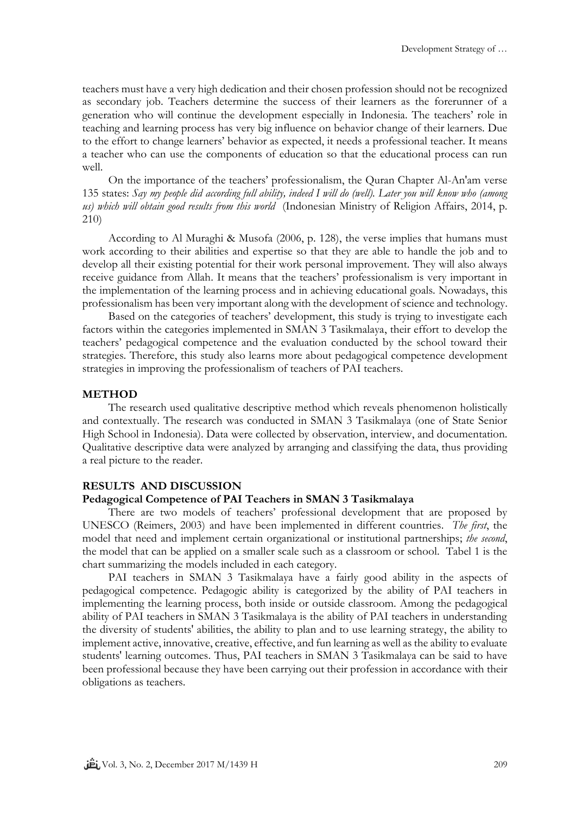teachers must have a very high dedication and their chosen profession should not be recognized as secondary job. Teachers determine the success of their learners as the forerunner of a generation who will continue the development especially in Indonesia. The teachers' role in teaching and learning process has very big influence on behavior change of their learners. Due to the effort to change learners' behavior as expected, it needs a professional teacher. It means a teacher who can use the components of education so that the educational process can run well.

On the importance of the teachers' professionalism, the Quran Chapter Al-An'am verse 135 states: *Say my people did according full ability, indeed I will do (well). Later you will know who (among us) which will obtain good results from this world* (Indonesian Ministry of Religion Affairs, 2014, p. 210)

According to Al Muraghi & Musofa (2006, p. 128), the verse implies that humans must work according to their abilities and expertise so that they are able to handle the job and to develop all their existing potential for their work personal improvement. They will also always receive guidance from Allah. It means that the teachers' professionalism is very important in the implementation of the learning process and in achieving educational goals. Nowadays, this professionalism has been very important along with the development of science and technology.

Based on the categories of teachers' development, this study is trying to investigate each factors within the categories implemented in SMAN 3 Tasikmalaya, their effort to develop the teachers' pedagogical competence and the evaluation conducted by the school toward their strategies. Therefore, this study also learns more about pedagogical competence development strategies in improving the professionalism of teachers of PAI teachers.

#### **METHOD**

The research used qualitative descriptive method which reveals phenomenon holistically and contextually. The research was conducted in SMAN 3 Tasikmalaya (one of State Senior High School in Indonesia). Data were collected by observation, interview, and documentation. Qualitative descriptive data were analyzed by arranging and classifying the data, thus providing a real picture to the reader.

### **RESULTS AND DISCUSSION**

#### **Pedagogical Competence of PAI Teachers in SMAN 3 Tasikmalaya**

There are two models of teachers' professional development that are proposed by UNESCO (Reimers, 2003) and have been implemented in different countries. *The first*, the model that need and implement certain organizational or institutional partnerships; *the second*, the model that can be applied on a smaller scale such as a classroom or school. Tabel 1 is the chart summarizing the models included in each category.

PAI teachers in SMAN 3 Tasikmalaya have a fairly good ability in the aspects of pedagogical competence. Pedagogic ability is categorized by the ability of PAI teachers in implementing the learning process, both inside or outside classroom. Among the pedagogical ability of PAI teachers in SMAN 3 Tasikmalaya is the ability of PAI teachers in understanding the diversity of students' abilities, the ability to plan and to use learning strategy, the ability to implement active, innovative, creative, effective, and fun learning as well as the ability to evaluate students' learning outcomes. Thus, PAI teachers in SMAN 3 Tasikmalaya can be said to have been professional because they have been carrying out their profession in accordance with their obligations as teachers.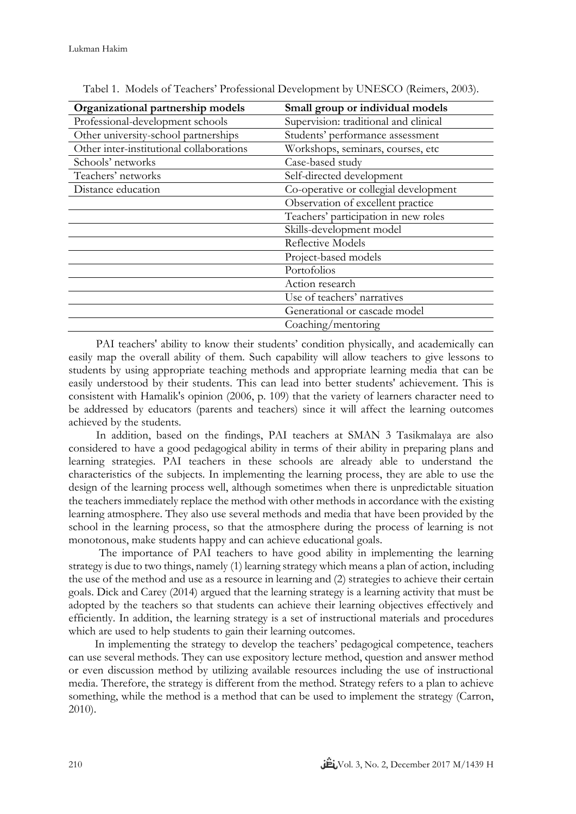| Organizational partnership models        | Small group or individual models      |
|------------------------------------------|---------------------------------------|
| Professional-development schools         | Supervision: traditional and clinical |
| Other university-school partnerships     | Students' performance assessment      |
| Other inter-institutional collaborations | Workshops, seminars, courses, etc     |
| Schools' networks                        | Case-based study                      |
| Teachers' networks                       | Self-directed development             |
| Distance education                       | Co-operative or collegial development |
|                                          | Observation of excellent practice     |
|                                          | Teachers' participation in new roles  |
|                                          | Skills-development model              |
|                                          | Reflective Models                     |
|                                          | Project-based models                  |
|                                          | Portofolios                           |
|                                          | Action research                       |
|                                          | Use of teachers' narratives           |
|                                          | Generational or cascade model         |
|                                          | Coaching/mentoring                    |

Tabel 1. Models of Teachers' Professional Development by UNESCO (Reimers, 2003).

PAI teachers' ability to know their students' condition physically, and academically can easily map the overall ability of them. Such capability will allow teachers to give lessons to students by using appropriate teaching methods and appropriate learning media that can be easily understood by their students. This can lead into better students' achievement. This is consistent with Hamalik's opinion (2006, p. 109) that the variety of learners character need to be addressed by educators (parents and teachers) since it will affect the learning outcomes achieved by the students.

In addition, based on the findings, PAI teachers at SMAN 3 Tasikmalaya are also considered to have a good pedagogical ability in terms of their ability in preparing plans and learning strategies. PAI teachers in these schools are already able to understand the characteristics of the subjects. In implementing the learning process, they are able to use the design of the learning process well, although sometimes when there is unpredictable situation the teachers immediately replace the method with other methods in accordance with the existing learning atmosphere. They also use several methods and media that have been provided by the school in the learning process, so that the atmosphere during the process of learning is not monotonous, make students happy and can achieve educational goals.

The importance of PAI teachers to have good ability in implementing the learning strategy is due to two things, namely (1) learning strategy which means a plan of action, including the use of the method and use as a resource in learning and (2) strategies to achieve their certain goals. Dick and Carey (2014) argued that the learning strategy is a learning activity that must be adopted by the teachers so that students can achieve their learning objectives effectively and efficiently. In addition, the learning strategy is a set of instructional materials and procedures which are used to help students to gain their learning outcomes.

In implementing the strategy to develop the teachers' pedagogical competence, teachers can use several methods. They can use expository lecture method, question and answer method or even discussion method by utilizing available resources including the use of instructional media. Therefore, the strategy is different from the method. Strategy refers to a plan to achieve something, while the method is a method that can be used to implement the strategy (Carron, 2010).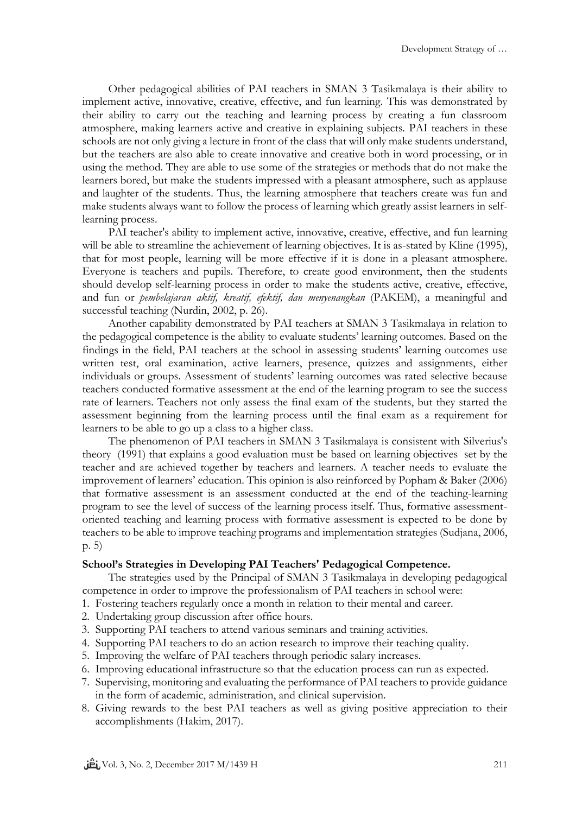Other pedagogical abilities of PAI teachers in SMAN 3 Tasikmalaya is their ability to implement active, innovative, creative, effective, and fun learning. This was demonstrated by their ability to carry out the teaching and learning process by creating a fun classroom atmosphere, making learners active and creative in explaining subjects. PAI teachers in these schools are not only giving a lecture in front of the class that will only make students understand, but the teachers are also able to create innovative and creative both in word processing, or in using the method. They are able to use some of the strategies or methods that do not make the learners bored, but make the students impressed with a pleasant atmosphere, such as applause and laughter of the students. Thus, the learning atmosphere that teachers create was fun and make students always want to follow the process of learning which greatly assist learners in selflearning process.

PAI teacher's ability to implement active, innovative, creative, effective, and fun learning will be able to streamline the achievement of learning objectives. It is as-stated by Kline (1995), that for most people, learning will be more effective if it is done in a pleasant atmosphere. Everyone is teachers and pupils. Therefore, to create good environment, then the students should develop self-learning process in order to make the students active, creative, effective, and fun or *pembelajaran aktif, kreatif, efektif, dan menyenangkan* (PAKEM), a meaningful and successful teaching (Nurdin, 2002, p. 26).

Another capability demonstrated by PAI teachers at SMAN 3 Tasikmalaya in relation to the pedagogical competence is the ability to evaluate students' learning outcomes. Based on the findings in the field, PAI teachers at the school in assessing students' learning outcomes use written test, oral examination, active learners, presence, quizzes and assignments, either individuals or groups. Assessment of students' learning outcomes was rated selective because teachers conducted formative assessment at the end of the learning program to see the success rate of learners. Teachers not only assess the final exam of the students, but they started the assessment beginning from the learning process until the final exam as a requirement for learners to be able to go up a class to a higher class.

The phenomenon of PAI teachers in SMAN 3 Tasikmalaya is consistent with Silverius's theory (1991) that explains a good evaluation must be based on learning objectives set by the teacher and are achieved together by teachers and learners. A teacher needs to evaluate the improvement of learners' education. This opinion is also reinforced by Popham & Baker (2006) that formative assessment is an assessment conducted at the end of the teaching-learning program to see the level of success of the learning process itself. Thus, formative assessmentoriented teaching and learning process with formative assessment is expected to be done by teachers to be able to improve teaching programs and implementation strategies (Sudjana, 2006, p. 5)

## **School's Strategies in Developing PAI Teachers' Pedagogical Competence.**

The strategies used by the Principal of SMAN 3 Tasikmalaya in developing pedagogical competence in order to improve the professionalism of PAI teachers in school were:

- 1. Fostering teachers regularly once a month in relation to their mental and career.
- 2. Undertaking group discussion after office hours.
- 3. Supporting PAI teachers to attend various seminars and training activities.
- 4. Supporting PAI teachers to do an action research to improve their teaching quality.
- 5. Improving the welfare of PAI teachers through periodic salary increases.
- 6. Improving educational infrastructure so that the education process can run as expected.
- 7. Supervising, monitoring and evaluating the performance of PAI teachers to provide guidance in the form of academic, administration, and clinical supervision.
- 8. Giving rewards to the best PAI teachers as well as giving positive appreciation to their accomplishments (Hakim, 2017).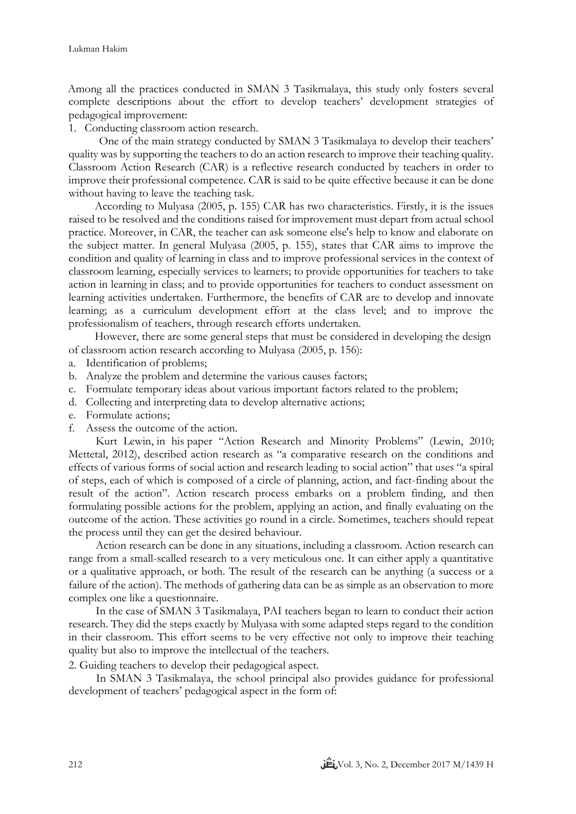Among all the practices conducted in SMAN 3 Tasikmalaya, this study only fosters several complete descriptions about the effort to develop teachers' development strategies of pedagogical improvement:

1. Conducting classroom action research.

One of the main strategy conducted by SMAN 3 Tasikmalaya to develop their teachers' quality was by supporting the teachers to do an action research to improve their teaching quality. Classroom Action Research (CAR) is a reflective research conducted by teachers in order to improve their professional competence. CAR is said to be quite effective because it can be done without having to leave the teaching task.

According to Mulyasa (2005, p. 155) CAR has two characteristics. Firstly, it is the issues raised to be resolved and the conditions raised for improvement must depart from actual school practice. Moreover, in CAR, the teacher can ask someone else's help to know and elaborate on the subject matter. In general Mulyasa (2005, p. 155), states that CAR aims to improve the condition and quality of learning in class and to improve professional services in the context of classroom learning, especially services to learners; to provide opportunities for teachers to take action in learning in class; and to provide opportunities for teachers to conduct assessment on learning activities undertaken. Furthermore, the benefits of CAR are to develop and innovate learning; as a curriculum development effort at the class level; and to improve the professionalism of teachers, through research efforts undertaken.

However, there are some general steps that must be considered in developing the design of classroom action research according to Mulyasa (2005, p. 156):

- a. Identification of problems;
- b. Analyze the problem and determine the various causes factors;
- c. Formulate temporary ideas about various important factors related to the problem;
- d. Collecting and interpreting data to develop alternative actions;
- e. Formulate actions;
- f. Assess the outcome of the action.

Kurt Lewin, in his paper "Action Research and Minority Problems" (Lewin, 2010; Mettetal, 2012), described action research as "a comparative research on the conditions and effects of various forms of social action and research leading to social action" that uses "a spiral of steps, each of which is composed of a circle of planning, action, and fact-finding about the result of the action". Action research process embarks on a problem finding, and then formulating possible actions for the problem, applying an action, and finally evaluating on the outcome of the action. These activities go round in a circle. Sometimes, teachers should repeat the process until they can get the desired behaviour.

Action research can be done in any situations, including a classroom. Action research can range from a small-scalled research to a very meticulous one. It can either apply a quantitative or a qualitative approach, or both. The result of the research can be anything (a success or a failure of the action). The methods of gathering data can be as simple as an observation to more complex one like a questionnaire.

In the case of SMAN 3 Tasikmalaya, PAI teachers began to learn to conduct their action research. They did the steps exactly by Mulyasa with some adapted steps regard to the condition in their classroom. This effort seems to be very effective not only to improve their teaching quality but also to improve the intellectual of the teachers.

2. Guiding teachers to develop their pedagogical aspect.

In SMAN 3 Tasikmalaya, the school principal also provides guidance for professional development of teachers' pedagogical aspect in the form of: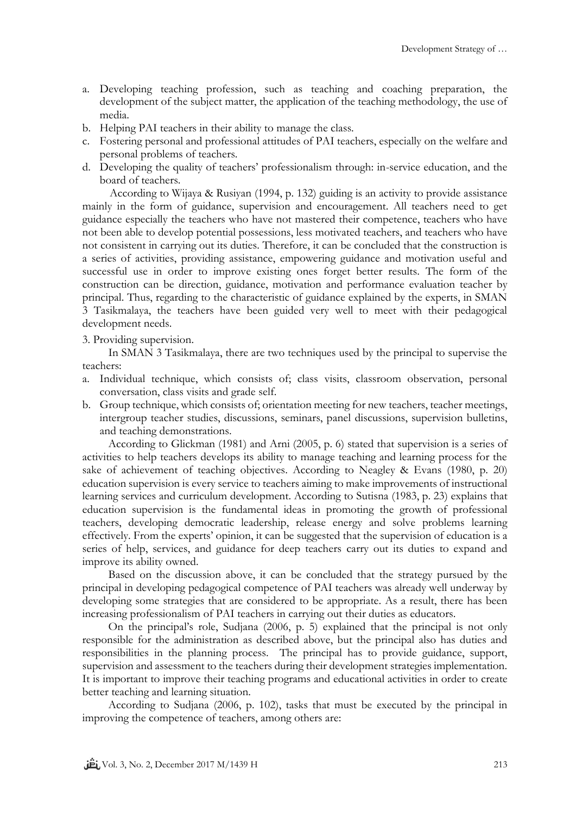- a. Developing teaching profession, such as teaching and coaching preparation, the development of the subject matter, the application of the teaching methodology, the use of media.
- b. Helping PAI teachers in their ability to manage the class.
- c. Fostering personal and professional attitudes of PAI teachers, especially on the welfare and personal problems of teachers.
- d. Developing the quality of teachers' professionalism through: in-service education, and the board of teachers.

According to Wijaya & Rusiyan (1994, p. 132) guiding is an activity to provide assistance mainly in the form of guidance, supervision and encouragement. All teachers need to get guidance especially the teachers who have not mastered their competence, teachers who have not been able to develop potential possessions, less motivated teachers, and teachers who have not consistent in carrying out its duties. Therefore, it can be concluded that the construction is a series of activities, providing assistance, empowering guidance and motivation useful and successful use in order to improve existing ones forget better results. The form of the construction can be direction, guidance, motivation and performance evaluation teacher by principal. Thus, regarding to the characteristic of guidance explained by the experts, in SMAN 3 Tasikmalaya, the teachers have been guided very well to meet with their pedagogical development needs.

3. Providing supervision.

In SMAN 3 Tasikmalaya, there are two techniques used by the principal to supervise the teachers:

- a. Individual technique, which consists of; class visits, classroom observation, personal conversation, class visits and grade self.
- b. Group technique, which consists of; orientation meeting for new teachers, teacher meetings, intergroup teacher studies, discussions, seminars, panel discussions, supervision bulletins, and teaching demonstrations.

According to Glickman (1981) and Arni (2005, p. 6) stated that supervision is a series of activities to help teachers develops its ability to manage teaching and learning process for the sake of achievement of teaching objectives. According to Neagley & Evans (1980, p. 20) education supervision is every service to teachers aiming to make improvements of instructional learning services and curriculum development. According to Sutisna (1983, p. 23) explains that education supervision is the fundamental ideas in promoting the growth of professional teachers, developing democratic leadership, release energy and solve problems learning effectively. From the experts' opinion, it can be suggested that the supervision of education is a series of help, services, and guidance for deep teachers carry out its duties to expand and improve its ability owned.

Based on the discussion above, it can be concluded that the strategy pursued by the principal in developing pedagogical competence of PAI teachers was already well underway by developing some strategies that are considered to be appropriate. As a result, there has been increasing professionalism of PAI teachers in carrying out their duties as educators.

On the principal's role, Sudjana (2006, p. 5) explained that the principal is not only responsible for the administration as described above, but the principal also has duties and responsibilities in the planning process. The principal has to provide guidance, support, supervision and assessment to the teachers during their development strategies implementation. It is important to improve their teaching programs and educational activities in order to create better teaching and learning situation.

According to Sudjana (2006, p. 102), tasks that must be executed by the principal in improving the competence of teachers, among others are: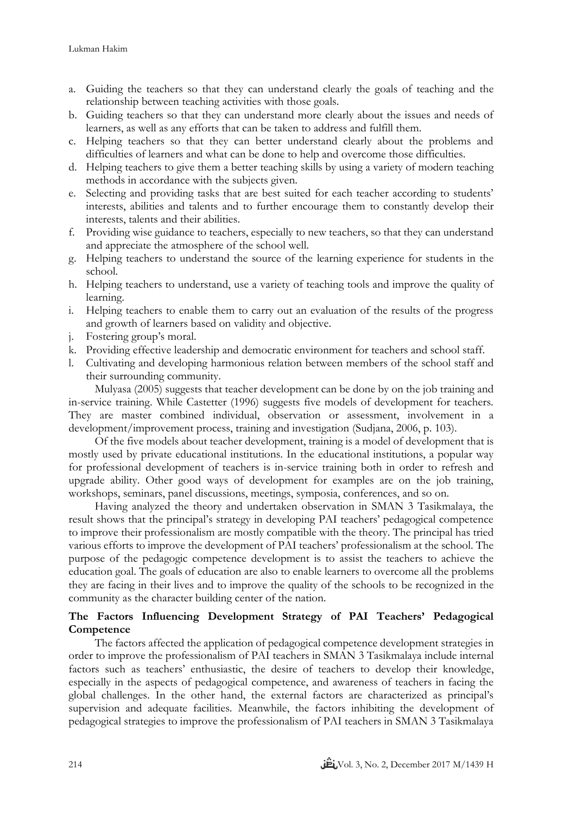- a. Guiding the teachers so that they can understand clearly the goals of teaching and the relationship between teaching activities with those goals.
- b. Guiding teachers so that they can understand more clearly about the issues and needs of learners, as well as any efforts that can be taken to address and fulfill them.
- c. Helping teachers so that they can better understand clearly about the problems and difficulties of learners and what can be done to help and overcome those difficulties.
- d. Helping teachers to give them a better teaching skills by using a variety of modern teaching methods in accordance with the subjects given.
- e. Selecting and providing tasks that are best suited for each teacher according to students' interests, abilities and talents and to further encourage them to constantly develop their interests, talents and their abilities.
- f. Providing wise guidance to teachers, especially to new teachers, so that they can understand and appreciate the atmosphere of the school well.
- g. Helping teachers to understand the source of the learning experience for students in the school.
- h. Helping teachers to understand, use a variety of teaching tools and improve the quality of learning.
- i. Helping teachers to enable them to carry out an evaluation of the results of the progress and growth of learners based on validity and objective.
- j. Fostering group's moral.
- k. Providing effective leadership and democratic environment for teachers and school staff.
- l. Cultivating and developing harmonious relation between members of the school staff and their surrounding community.

Mulyasa (2005) suggests that teacher development can be done by on the job training and in-service training. While Castetter (1996) suggests five models of development for teachers. They are master combined individual, observation or assessment, involvement in a development/improvement process, training and investigation (Sudjana, 2006, p. 103).

Of the five models about teacher development, training is a model of development that is mostly used by private educational institutions. In the educational institutions, a popular way for professional development of teachers is in-service training both in order to refresh and upgrade ability. Other good ways of development for examples are on the job training, workshops, seminars, panel discussions, meetings, symposia, conferences, and so on.

Having analyzed the theory and undertaken observation in SMAN 3 Tasikmalaya, the result shows that the principal's strategy in developing PAI teachers' pedagogical competence to improve their professionalism are mostly compatible with the theory. The principal has tried various efforts to improve the development of PAI teachers' professionalism at the school. The purpose of the pedagogic competence development is to assist the teachers to achieve the education goal. The goals of education are also to enable learners to overcome all the problems they are facing in their lives and to improve the quality of the schools to be recognized in the community as the character building center of the nation.

# **The Factors Influencing Development Strategy of PAI Teachers' Pedagogical Competence**

The factors affected the application of pedagogical competence development strategies in order to improve the professionalism of PAI teachers in SMAN 3 Tasikmalaya include internal factors such as teachers' enthusiastic, the desire of teachers to develop their knowledge, especially in the aspects of pedagogical competence, and awareness of teachers in facing the global challenges. In the other hand, the external factors are characterized as principal's supervision and adequate facilities. Meanwhile, the factors inhibiting the development of pedagogical strategies to improve the professionalism of PAI teachers in SMAN 3 Tasikmalaya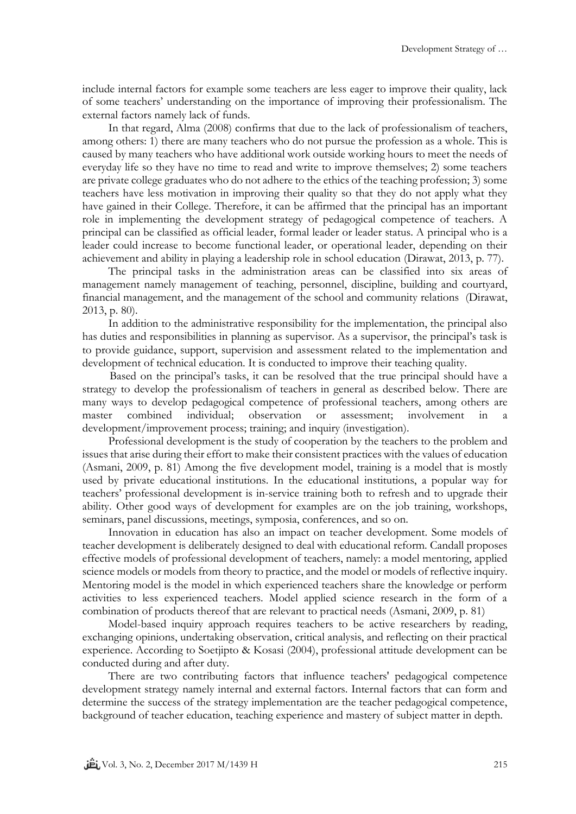include internal factors for example some teachers are less eager to improve their quality, lack of some teachers' understanding on the importance of improving their professionalism. The external factors namely lack of funds.

In that regard, Alma (2008) confirms that due to the lack of professionalism of teachers, among others: 1) there are many teachers who do not pursue the profession as a whole. This is caused by many teachers who have additional work outside working hours to meet the needs of everyday life so they have no time to read and write to improve themselves; 2) some teachers are private college graduates who do not adhere to the ethics of the teaching profession; 3) some teachers have less motivation in improving their quality so that they do not apply what they have gained in their College. Therefore, it can be affirmed that the principal has an important role in implementing the development strategy of pedagogical competence of teachers. A principal can be classified as official leader, formal leader or leader status. A principal who is a leader could increase to become functional leader, or operational leader, depending on their achievement and ability in playing a leadership role in school education (Dirawat, 2013, p. 77).

The principal tasks in the administration areas can be classified into six areas of management namely management of teaching, personnel, discipline, building and courtyard, financial management, and the management of the school and community relations (Dirawat, 2013, p. 80).

In addition to the administrative responsibility for the implementation, the principal also has duties and responsibilities in planning as supervisor. As a supervisor, the principal's task is to provide guidance, support, supervision and assessment related to the implementation and development of technical education. It is conducted to improve their teaching quality.

Based on the principal's tasks, it can be resolved that the true principal should have a strategy to develop the professionalism of teachers in general as described below. There are many ways to develop pedagogical competence of professional teachers, among others are master combined individual; observation or assessment; involvement in a development/improvement process; training; and inquiry (investigation).

Professional development is the study of cooperation by the teachers to the problem and issues that arise during their effort to make their consistent practices with the values of education (Asmani, 2009, p. 81) Among the five development model, training is a model that is mostly used by private educational institutions. In the educational institutions, a popular way for teachers' professional development is in-service training both to refresh and to upgrade their ability. Other good ways of development for examples are on the job training, workshops, seminars, panel discussions, meetings, symposia, conferences, and so on.

Innovation in education has also an impact on teacher development. Some models of teacher development is deliberately designed to deal with educational reform. Candall proposes effective models of professional development of teachers, namely: a model mentoring, applied science models or models from theory to practice, and the model or models of reflective inquiry. Mentoring model is the model in which experienced teachers share the knowledge or perform activities to less experienced teachers. Model applied science research in the form of a combination of products thereof that are relevant to practical needs (Asmani, 2009, p. 81)

Model-based inquiry approach requires teachers to be active researchers by reading, exchanging opinions, undertaking observation, critical analysis, and reflecting on their practical experience. According to Soetjipto & Kosasi (2004), professional attitude development can be conducted during and after duty.

There are two contributing factors that influence teachers' pedagogical competence development strategy namely internal and external factors. Internal factors that can form and determine the success of the strategy implementation are the teacher pedagogical competence, background of teacher education, teaching experience and mastery of subject matter in depth.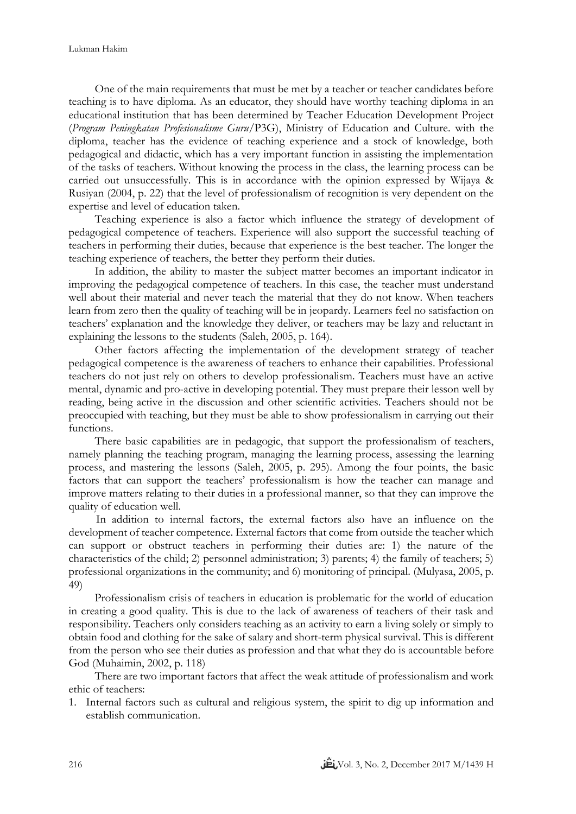One of the main requirements that must be met by a teacher or teacher candidates before teaching is to have diploma. As an educator, they should have worthy teaching diploma in an educational institution that has been determined by Teacher Education Development Project (*Program Peningkatan Profesionalisme Guru*/P3G), Ministry of Education and Culture. with the diploma, teacher has the evidence of teaching experience and a stock of knowledge, both pedagogical and didactic, which has a very important function in assisting the implementation of the tasks of teachers. Without knowing the process in the class, the learning process can be carried out unsuccessfully. This is in accordance with the opinion expressed by Wijaya & Rusiyan (2004, p. 22) that the level of professionalism of recognition is very dependent on the expertise and level of education taken.

Teaching experience is also a factor which influence the strategy of development of pedagogical competence of teachers. Experience will also support the successful teaching of teachers in performing their duties, because that experience is the best teacher. The longer the teaching experience of teachers, the better they perform their duties.

In addition, the ability to master the subject matter becomes an important indicator in improving the pedagogical competence of teachers. In this case, the teacher must understand well about their material and never teach the material that they do not know. When teachers learn from zero then the quality of teaching will be in jeopardy. Learners feel no satisfaction on teachers' explanation and the knowledge they deliver, or teachers may be lazy and reluctant in explaining the lessons to the students (Saleh, 2005, p. 164).

Other factors affecting the implementation of the development strategy of teacher pedagogical competence is the awareness of teachers to enhance their capabilities. Professional teachers do not just rely on others to develop professionalism. Teachers must have an active mental, dynamic and pro-active in developing potential. They must prepare their lesson well by reading, being active in the discussion and other scientific activities. Teachers should not be preoccupied with teaching, but they must be able to show professionalism in carrying out their functions.

There basic capabilities are in pedagogic, that support the professionalism of teachers, namely planning the teaching program, managing the learning process, assessing the learning process, and mastering the lessons (Saleh, 2005, p. 295). Among the four points, the basic factors that can support the teachers' professionalism is how the teacher can manage and improve matters relating to their duties in a professional manner, so that they can improve the quality of education well.

In addition to internal factors, the external factors also have an influence on the development of teacher competence. External factors that come from outside the teacher which can support or obstruct teachers in performing their duties are: 1) the nature of the characteristics of the child; 2) personnel administration; 3) parents; 4) the family of teachers; 5) professional organizations in the community; and 6) monitoring of principal. (Mulyasa, 2005, p. 49)

Professionalism crisis of teachers in education is problematic for the world of education in creating a good quality. This is due to the lack of awareness of teachers of their task and responsibility. Teachers only considers teaching as an activity to earn a living solely or simply to obtain food and clothing for the sake of salary and short-term physical survival. This is different from the person who see their duties as profession and that what they do is accountable before God (Muhaimin, 2002, p. 118)

There are two important factors that affect the weak attitude of professionalism and work ethic of teachers:

1. Internal factors such as cultural and religious system, the spirit to dig up information and establish communication.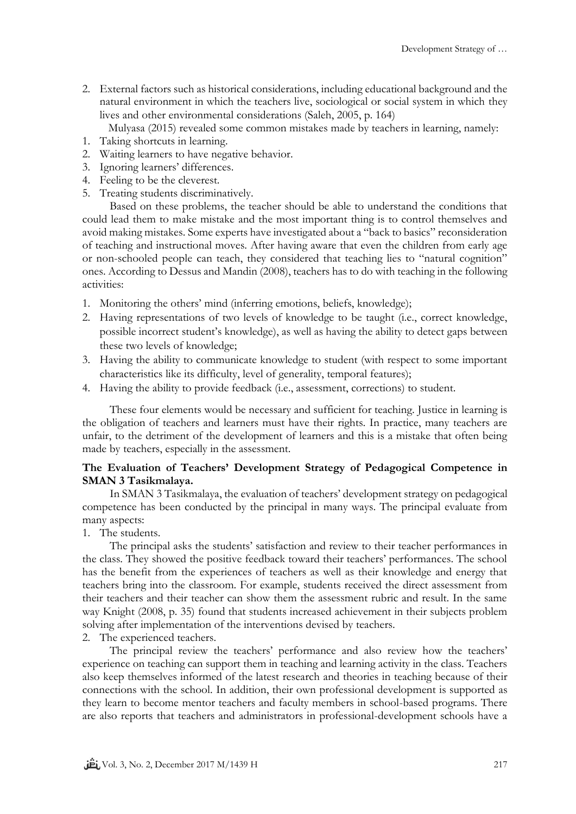2. External factors such as historical considerations, including educational background and the natural environment in which the teachers live, sociological or social system in which they lives and other environmental considerations (Saleh, 2005, p. 164)

Mulyasa (2015) revealed some common mistakes made by teachers in learning, namely:

- 1. Taking shortcuts in learning.
- 2. Waiting learners to have negative behavior.
- 3. Ignoring learners' differences.
- 4. Feeling to be the cleverest.
- 5. Treating students discriminatively.

Based on these problems, the teacher should be able to understand the conditions that could lead them to make mistake and the most important thing is to control themselves and avoid making mistakes. Some experts have investigated about a "back to basics" reconsideration of teaching and instructional moves. After having aware that even the children from early age or non-schooled people can teach, they considered that teaching lies to "natural cognition" ones. According to Dessus and Mandin (2008), teachers has to do with teaching in the following activities:

- 1. Monitoring the others' mind (inferring emotions, beliefs, knowledge);
- 2. Having representations of two levels of knowledge to be taught (i.e., correct knowledge, possible incorrect student's knowledge), as well as having the ability to detect gaps between these two levels of knowledge;
- 3. Having the ability to communicate knowledge to student (with respect to some important characteristics like its difficulty, level of generality, temporal features);
- 4. Having the ability to provide feedback (i.e., assessment, corrections) to student.

These four elements would be necessary and sufficient for teaching. Justice in learning is the obligation of teachers and learners must have their rights. In practice, many teachers are unfair, to the detriment of the development of learners and this is a mistake that often being made by teachers, especially in the assessment.

# **The Evaluation of Teachers' Development Strategy of Pedagogical Competence in SMAN 3 Tasikmalaya.**

In SMAN 3 Tasikmalaya, the evaluation of teachers' development strategy on pedagogical competence has been conducted by the principal in many ways. The principal evaluate from many aspects:

1. The students.

The principal asks the students' satisfaction and review to their teacher performances in the class. They showed the positive feedback toward their teachers' performances. The school has the benefit from the experiences of teachers as well as their knowledge and energy that teachers bring into the classroom. For example, students received the direct assessment from their teachers and their teacher can show them the assessment rubric and result. In the same way Knight (2008, p. 35) found that students increased achievement in their subjects problem solving after implementation of the interventions devised by teachers.

2. The experienced teachers.

The principal review the teachers' performance and also review how the teachers' experience on teaching can support them in teaching and learning activity in the class. Teachers also keep themselves informed of the latest research and theories in teaching because of their connections with the school. In addition, their own professional development is supported as they learn to become mentor teachers and faculty members in school-based programs. There are also reports that teachers and administrators in professional-development schools have a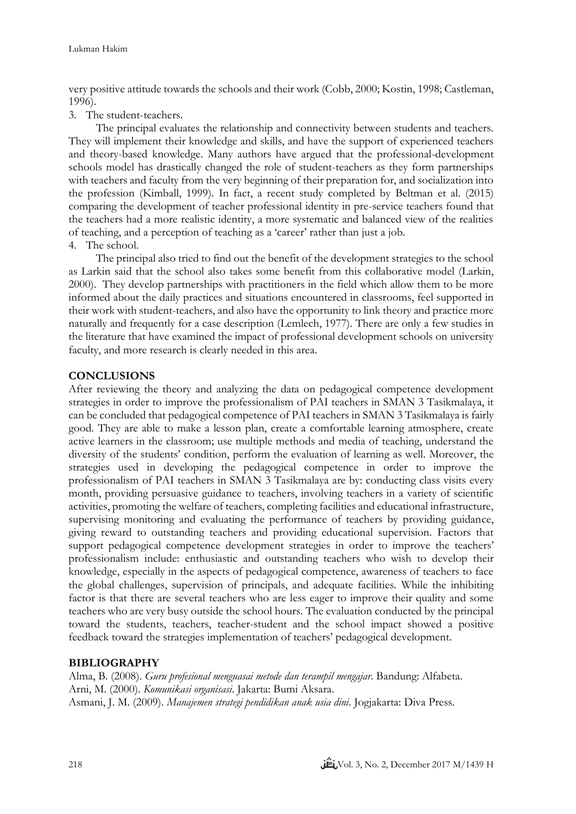very positive attitude towards the schools and their work (Cobb, 2000; Kostin, 1998; Castleman, 1996).

3. The student-teachers.

The principal evaluates the relationship and connectivity between students and teachers. They will implement their knowledge and skills, and have the support of experienced teachers and theory-based knowledge. Many authors have argued that the professional-development schools model has drastically changed the role of student-teachers as they form partnerships with teachers and faculty from the very beginning of their preparation for, and socialization into the profession (Kimball, 1999). In fact, a recent study completed by Beltman et al. (2015) comparing the development of teacher professional identity in pre-service teachers found that the teachers had a more realistic identity, a more systematic and balanced view of the realities of teaching, and a perception of teaching as a 'career' rather than just a job.

4. The school.

The principal also tried to find out the benefit of the development strategies to the school as Larkin said that the school also takes some benefit from this collaborative model (Larkin, 2000). They develop partnerships with practitioners in the field which allow them to be more informed about the daily practices and situations encountered in classrooms, feel supported in their work with student-teachers, and also have the opportunity to link theory and practice more naturally and frequently for a case description (Lemlech, 1977). There are only a few studies in the literature that have examined the impact of professional development schools on university faculty, and more research is clearly needed in this area.

## **CONCLUSIONS**

After reviewing the theory and analyzing the data on pedagogical competence development strategies in order to improve the professionalism of PAI teachers in SMAN 3 Tasikmalaya, it can be concluded that pedagogical competence of PAI teachers in SMAN 3 Tasikmalaya is fairly good. They are able to make a lesson plan, create a comfortable learning atmosphere, create active learners in the classroom; use multiple methods and media of teaching, understand the diversity of the students' condition, perform the evaluation of learning as well. Moreover, the strategies used in developing the pedagogical competence in order to improve the professionalism of PAI teachers in SMAN 3 Tasikmalaya are by: conducting class visits every month, providing persuasive guidance to teachers, involving teachers in a variety of scientific activities, promoting the welfare of teachers, completing facilities and educational infrastructure, supervising monitoring and evaluating the performance of teachers by providing guidance, giving reward to outstanding teachers and providing educational supervision. Factors that support pedagogical competence development strategies in order to improve the teachers' professionalism include: enthusiastic and outstanding teachers who wish to develop their knowledge, especially in the aspects of pedagogical competence, awareness of teachers to face the global challenges, supervision of principals, and adequate facilities. While the inhibiting factor is that there are several teachers who are less eager to improve their quality and some teachers who are very busy outside the school hours. The evaluation conducted by the principal toward the students, teachers, teacher-student and the school impact showed a positive feedback toward the strategies implementation of teachers' pedagogical development.

## **BIBLIOGRAPHY**

Alma, B. (2008). *Guru profesional menguasai metode dan terampil mengajar*. Bandung: Alfabeta. Arni, M. (2000). *Komunikasi organisasi*. Jakarta: Bumi Aksara. Asmani, J. M. (2009). *Manajemen strategi pendidikan anak usia dini*. Jogjakarta: Diva Press.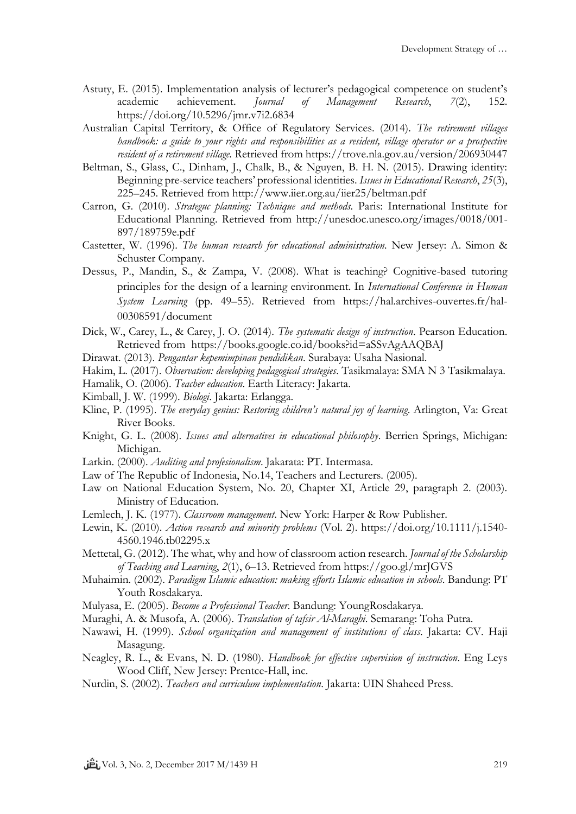- Astuty, E. (2015). Implementation analysis of lecturer's pedagogical competence on student's academic achievement. *Journal of Management Research*, *7*(2), 152. https://doi.org/10.5296/jmr.v7i2.6834
- Australian Capital Territory, & Office of Regulatory Services. (2014). *The retirement villages handbook: a guide to your rights and responsibilities as a resident, village operator or a prospective resident of a retirement village.* Retrieved from https://trove.nla.gov.au/version/206930447
- Beltman, S., Glass, C., Dinham, J., Chalk, B., & Nguyen, B. H. N. (2015). Drawing identity: Beginning pre-service teachers' professional identities. *Issues in Educational Research*, *25*(3), 225–245. Retrieved from http://www.iier.org.au/iier25/beltman.pdf
- Carron, G. (2010). *Strateguc planning: Technique and methods*. Paris: International Institute for Educational Planning. Retrieved from http://unesdoc.unesco.org/images/0018/001- 897/189759e.pdf
- Castetter, W. (1996). *The human research for educational administration.* New Jersey: A. Simon & Schuster Company.
- Dessus, P., Mandin, S., & Zampa, V. (2008). What is teaching? Cognitive-based tutoring principles for the design of a learning environment. In *International Conference in Human System Learning* (pp. 49–55). Retrieved from https://hal.archives-ouvertes.fr/hal-00308591/document
- Dick, W., Carey, L., & Carey, J. O. (2014). *The systematic design of instruction*. Pearson Education. Retrieved from https://books.google.co.id/books?id=aSSvAgAAQBAJ
- Dirawat. (2013). *Pengantar kepemimpinan pendidikan*. Surabaya: Usaha Nasional.

Hakim, L. (2017). *Observation: developing pedagogical strategies*. Tasikmalaya: SMA N 3 Tasikmalaya.

- Hamalik, O. (2006). *Teacher education*. Earth Literacy: Jakarta.
- Kimball, J. W. (1999). *Biologi*. Jakarta: Erlangga.
- Kline, P. (1995). *The everyday genius: Restoring children's natural joy of learning*. Arlington, Va: Great River Books.
- Knight, G. L. (2008). *Issues and alternatives in educational philosophy*. Berrien Springs, Michigan: Michigan.
- Larkin. (2000). *Auditing and profesionalism*. Jakarata: PT. Intermasa.
- Law of The Republic of Indonesia, No.14, Teachers and Lecturers. (2005).
- Law on National Education System, No. 20, Chapter XI, Article 29, paragraph 2. (2003). Ministry of Education.
- Lemlech, J. K. (1977). *Classroom management*. New York: Harper & Row Publisher.
- Lewin, K. (2010). *Action research and minority problems* (Vol. 2). https://doi.org/10.1111/j.1540- 4560.1946.tb02295.x
- Mettetal, G. (2012). The what, why and how of classroom action research. *Journal of the Scholarship of Teaching and Learning*, *2*(1), 6–13. Retrieved from https://goo.gl/mrJGVS
- Muhaimin. (2002). *Paradigm Islamic education: making efforts Islamic education in schools*. Bandung: PT Youth Rosdakarya.
- Mulyasa, E. (2005). *Become a Professional Teacher*. Bandung: YoungRosdakarya.
- Muraghi, A. & Musofa, A. (2006). *Translation of tafsir Al-Maraghi*. Semarang: Toha Putra.
- Nawawi, H. (1999). *School organization and management of institutions of class*. Jakarta: CV. Haji Masagung.
- Neagley, R. L., & Evans, N. D. (1980). *Handbook for effective supervision of instruction*. Eng Leys Wood Cliff, New Jersey: Prentce-Hall, inc.
- Nurdin, S. (2002). *Teachers and curriculum implementation*. Jakarta: UIN Shaheed Press.